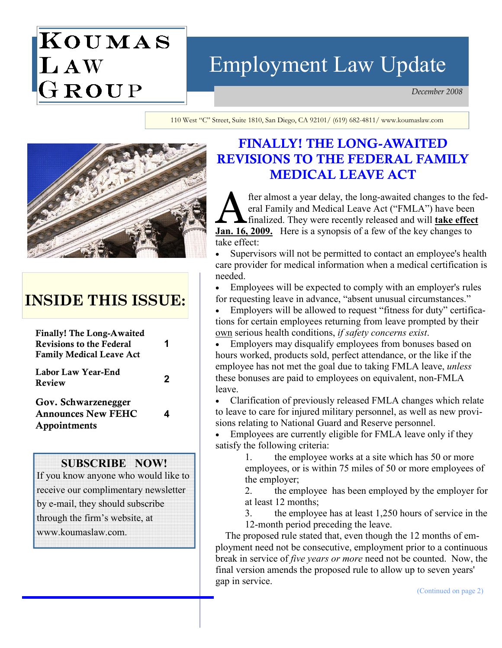# KOUMAS LAW<br>GROUP

## Employment Law Update

December 2008

110 West "C" Street, Suite 1810, San Diego, CA 92101/ (619) 682-4811/ www.koumaslaw.com



## INSIDE THIS ISSUE:

| <b>Finally! The Long-Awaited</b><br><b>Revisions to the Federal</b><br><b>Family Medical Leave Act</b> |   |
|--------------------------------------------------------------------------------------------------------|---|
| Labor Law Year-End<br>Review                                                                           | 2 |
| Gov. Schwarzenegger<br><b>Announces New FEHC</b><br>Appointments                                       |   |
| <b>SUBSCRIBE NOW!</b><br>If you know anyone who would like to<br>receive our complimentary newsletter  |   |

by e-mail, they should subscribe through the firm's website, at www.koumaslaw.com.

### FINALLY! THE LONG-AWAITED REVISIONS TO THE FEDERAL FAMILY MEDICAL LEAVE ACT

fter almost a year delay, the long-awaited changes to the federal Family and Medical Leave Act ("FMLA") have been finalized. They were recently released and will take effect Jan. 16, 2009. Here is a synopsis of a few of the key changes to take effect:

• Supervisors will not be permitted to contact an employee's health care provider for medical information when a medical certification is needed.

• Employees will be expected to comply with an employer's rules for requesting leave in advance, "absent unusual circumstances."

• Employers will be allowed to request "fitness for duty" certifications for certain employees returning from leave prompted by their own serious health conditions, if safety concerns exist.

• Employers may disqualify employees from bonuses based on hours worked, products sold, perfect attendance, or the like if the employee has not met the goal due to taking FMLA leave, *unless* these bonuses are paid to employees on equivalent, non-FMLA leave.

• Clarification of previously released FMLA changes which relate to leave to care for injured military personnel, as well as new provisions relating to National Guard and Reserve personnel.

Employees are currently eligible for FMLA leave only if they satisfy the following criteria:

 1. the employee works at a site which has 50 or more employees, or is within 75 miles of 50 or more employees of the employer;

 2. the employee has been employed by the employer for at least 12 months;

 3. the employee has at least 1,250 hours of service in the 12-month period preceding the leave.

 The proposed rule stated that, even though the 12 months of employment need not be consecutive, employment prior to a continuous break in service of *five years or more* need not be counted. Now, the final version amends the proposed rule to allow up to seven years' gap in service.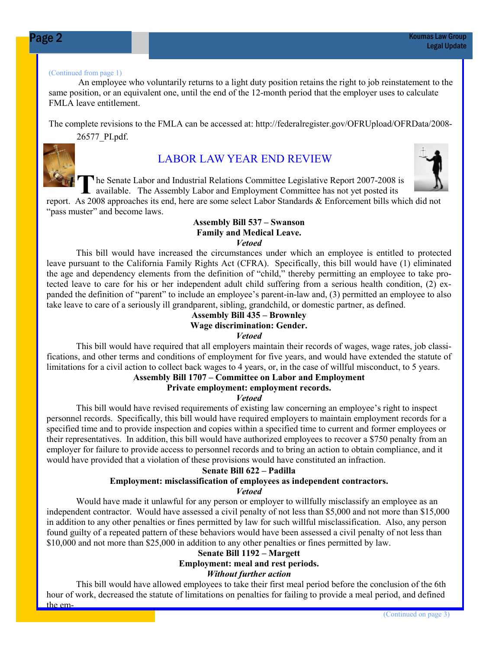#### (Continued from page 1)

An employee who voluntarily returns to a light duty position retains the right to job reinstatement to the same position, or an equivalent one, until the end of the 12-month period that the employer uses to calculate FMLA leave entitlement.

The complete revisions to the FMLA can be accessed at: http://federalregister.gov/OFRUpload/OFRData/2008- 26577\_PI.pdf.



#### LABOR LAW YEAR END REVIEW

T he Senate Labor and Industrial Relations Committee Legislative Report 2007-2008 is available. The Assembly Labor and Employment Committee has not yet posted its

report. As 2008 approaches its end, here are some select Labor Standards & Enforcement bills which did not "pass muster" and become laws.

#### Assembly Bill 537 – Swanson Family and Medical Leave. Vetoed

 This bill would have increased the circumstances under which an employee is entitled to protected leave pursuant to the California Family Rights Act (CFRA). Specifically, this bill would have (1) eliminated the age and dependency elements from the definition of "child," thereby permitting an employee to take protected leave to care for his or her independent adult child suffering from a serious health condition, (2) expanded the definition of "parent" to include an employee's parent-in-law and, (3) permitted an employee to also take leave to care of a seriously ill grandparent, sibling, grandchild, or domestic partner, as defined.

#### Assembly Bill 435 – Brownley Wage discrimination: Gender. Vetoed

 This bill would have required that all employers maintain their records of wages, wage rates, job classifications, and other terms and conditions of employment for five years, and would have extended the statute of limitations for a civil action to collect back wages to 4 years, or, in the case of willful misconduct, to 5 years.

#### Assembly Bill 1707 – Committee on Labor and Employment

#### Private employment: employment records.

#### Vetoed

 This bill would have revised requirements of existing law concerning an employee's right to inspect personnel records. Specifically, this bill would have required employers to maintain employment records for a specified time and to provide inspection and copies within a specified time to current and former employees or their representatives. In addition, this bill would have authorized employees to recover a \$750 penalty from an employer for failure to provide access to personnel records and to bring an action to obtain compliance, and it would have provided that a violation of these provisions would have constituted an infraction.

#### Senate Bill 622 – Padilla Employment: misclassification of employees as independent contractors. Vetoed

 Would have made it unlawful for any person or employer to willfully misclassify an employee as an independent contractor. Would have assessed a civil penalty of not less than \$5,000 and not more than \$15,000 in addition to any other penalties or fines permitted by law for such willful misclassification. Also, any person found guilty of a repeated pattern of these behaviors would have been assessed a civil penalty of not less than \$10,000 and not more than \$25,000 in addition to any other penalties or fines permitted by law.

#### Senate Bill 1192 – Margett Employment: meal and rest periods. Without further action

 This bill would have allowed employees to take their first meal period before the conclusion of the 6th hour of work, decreased the statute of limitations on penalties for failing to provide a meal period, and defined the em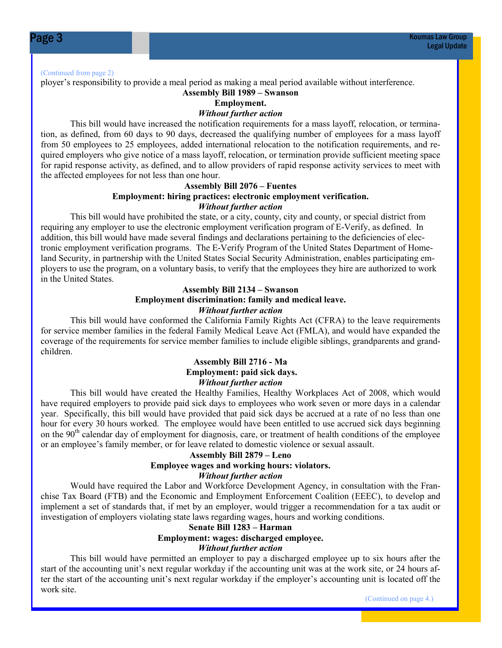(Continued from page 2)

ployer's responsibility to provide a meal period as making a meal period available without interference.

#### Assembly Bill 1989 – Swanson

#### Employment.

Without further action

This bill would have increased the notification requirements for a mass layoff, relocation, or termination, as defined, from 60 days to 90 days, decreased the qualifying number of employees for a mass layoff from 50 employees to 25 employees, added international relocation to the notification requirements, and required employers who give notice of a mass layoff, relocation, or termination provide sufficient meeting space for rapid response activity, as defined, and to allow providers of rapid response activity services to meet with the affected employees for not less than one hour.

#### Assembly Bill 2076 – Fuentes

#### Employment: hiring practices: electronic employment verification. Without further action

This bill would have prohibited the state, or a city, county, city and county, or special district from requiring any employer to use the electronic employment verification program of E-Verify, as defined. In addition, this bill would have made several findings and declarations pertaining to the deficiencies of electronic employment verification programs. The E-Verify Program of the United States Department of Homeland Security, in partnership with the United States Social Security Administration, enables participating employers to use the program, on a voluntary basis, to verify that the employees they hire are authorized to work in the United States.

#### Assembly Bill 2134 – Swanson Employment discrimination: family and medical leave. Without further action

This bill would have conformed the California Family Rights Act (CFRA) to the leave requirements for service member families in the federal Family Medical Leave Act (FMLA), and would have expanded the coverage of the requirements for service member families to include eligible siblings, grandparents and grandchildren.

#### Assembly Bill 2716 - Ma Employment: paid sick days. Without further action

This bill would have created the Healthy Families, Healthy Workplaces Act of 2008, which would have required employers to provide paid sick days to employees who work seven or more days in a calendar year. Specifically, this bill would have provided that paid sick days be accrued at a rate of no less than one hour for every 30 hours worked. The employee would have been entitled to use accrued sick days beginning on the 90<sup>th</sup> calendar day of employment for diagnosis, care, or treatment of health conditions of the employee or an employee's family member, or for leave related to domestic violence or sexual assault.

#### Assembly Bill 2879 – Leno Employee wages and working hours: violators. Without further action

 Would have required the Labor and Workforce Development Agency, in consultation with the Franchise Tax Board (FTB) and the Economic and Employment Enforcement Coalition (EEEC), to develop and implement a set of standards that, if met by an employer, would trigger a recommendation for a tax audit or investigation of employers violating state laws regarding wages, hours and working conditions.

#### Senate Bill 1283 – Harman Employment: wages: discharged employee. Without further action

 This bill would have permitted an employer to pay a discharged employee up to six hours after the start of the accounting unit's next regular workday if the accounting unit was at the work site, or 24 hours after the start of the accounting unit's next regular workday if the employer's accounting unit is located off the work site.